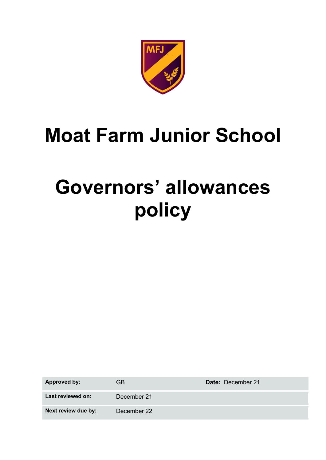

## **Moat Farm Junior School**

# **Governors' allowances policy**

**Approved by:** GB **Date:** December 21 **Last reviewed on:** December 21 **Next review due by:** December 22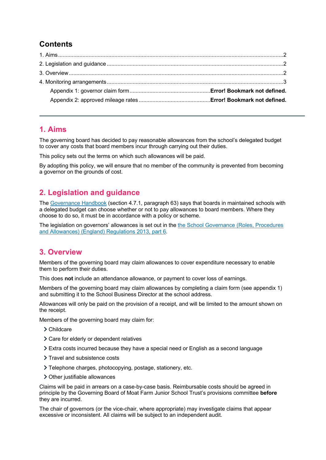## **Contents**

#### **1. Aims**

The governing board has decided to pay reasonable allowances from the school's delegated budget to cover any costs that board members incur through carrying out their duties.

This policy sets out the terms on which such allowances will be paid.

By adopting this policy, we will ensure that no member of the community is prevented from becoming a governor on the grounds of cost.

## **2. Legislation and guidance**

The Governance Handbook (section 4.7.1, paragraph 63) says that boards in maintained schools with a delegated budget can choose whether or not to pay allowances to board members. Where they choose to do so, it must be in accordance with a policy or scheme.

The legislation on governors' allowances is set out in the the School Governance (Roles, Procedures and Allowances) (England) Regulations 2013, part 6.

#### **3. Overview**

Members of the governing board may claim allowances to cover expenditure necessary to enable them to perform their duties.

This does **not** include an attendance allowance, or payment to cover loss of earnings.

Members of the governing board may claim allowances by completing a claim form (see appendix 1) and submitting it to the School Business Director at the school address.

Allowances will only be paid on the provision of a receipt, and will be limited to the amount shown on the receipt.

Members of the governing board may claim for:

- > Childcare
- Care for elderly or dependent relatives
- Extra costs incurred because they have a special need or English as a second language
- > Travel and subsistence costs
- Telephone charges, photocopying, postage, stationery, etc.
- Other justifiable allowances

Claims will be paid in arrears on a case-by-case basis. Reimbursable costs should be agreed in principle by the Governing Board of Moat Farm Junior School Trust's provisions committee **before** they are incurred.

The chair of governors (or the vice-chair, where appropriate) may investigate claims that appear excessive or inconsistent. All claims will be subject to an independent audit.